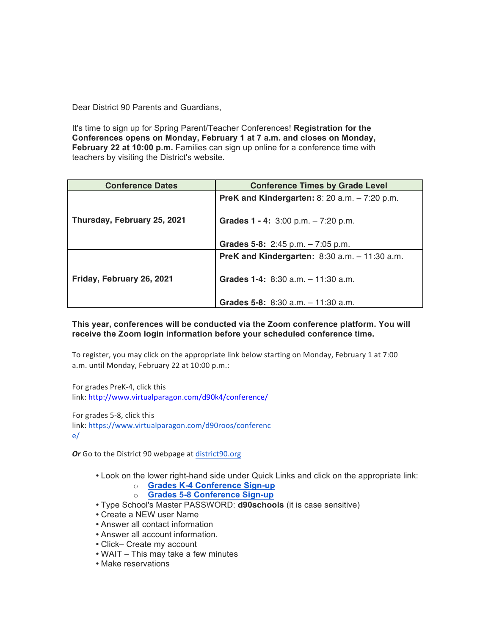Dear District 90 Parents and Guardians,

It's time to sign up for Spring Parent/Teacher Conferences! **Registration for the Conferences opens on Monday, February 1 at 7 a.m. and closes on Monday, February 22 at 10:00 p.m.** Families can sign up online for a conference time with teachers by visiting the District's website.

| <b>Conference Dates</b>     | <b>Conference Times by Grade Level</b>                  |
|-----------------------------|---------------------------------------------------------|
| Thursday, February 25, 2021 | <b>PreK and Kindergarten:</b> 8: 20 a.m. $-7:20$ p.m.   |
|                             | Grades $1 - 4$ : 3:00 p.m. $- 7:20$ p.m.                |
|                             | Grades 5-8: $2:45$ p.m. $-7:05$ p.m.                    |
| Friday, February 26, 2021   | <b>PreK and Kindergarten:</b> $8:30$ a.m. $-11:30$ a.m. |
|                             | Grades 1-4: 8:30 a.m. - 11:30 a.m.                      |
|                             | Grades 5-8: 8:30 a.m. - 11:30 a.m.                      |

## **This year, conferences will be conducted via the Zoom conference platform. You will receive the Zoom login information before your scheduled conference time.**

To register, you may click on the appropriate link below starting on Monday, February 1 at 7:00 a.m. until Monday, February 22 at 10:00 p.m.:

For grades PreK-4, click this link: http://www.virtualparagon.com/d90k4/conference/

For grades 5-8, click this link: https://www.virtualparagon.com/d90roos/conferenc e/

Or Go to the District 90 webpage at district90.org

- Look on the lower right-hand side under Quick Links and click on the appropriate link:
	- o **Grades K-4 Conference Sign-up**
	- o **Grades 5-8 Conference Sign-up**
- Type School's Master PASSWORD: **d90schools** (it is case sensitive)
- Create a NEW user Name
- Answer all contact information
- Answer all account information.
- Click– Create my account
- WAIT This may take a few minutes
- Make reservations